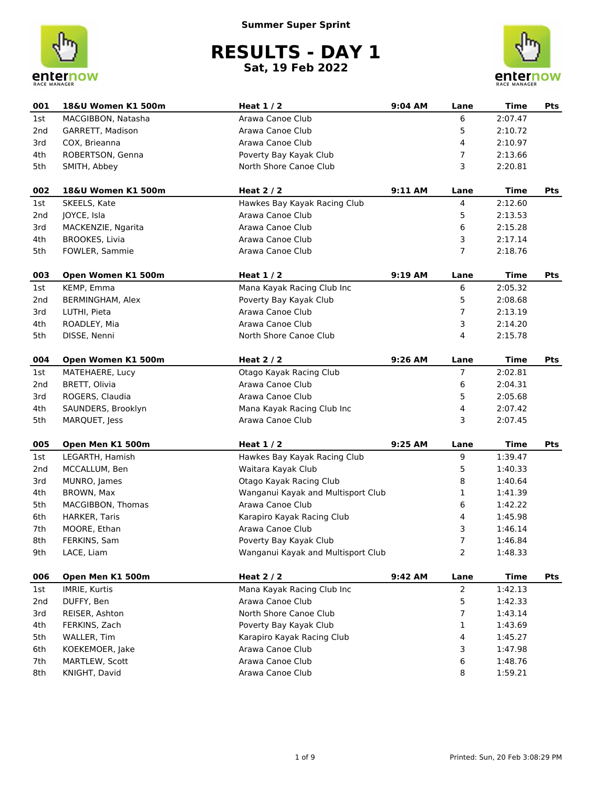



| 001             | 18&U Women K1 500m      | Heat $1/2$                         | 9:04 AM | Lane           | <b>Time</b> | Pts        |
|-----------------|-------------------------|------------------------------------|---------|----------------|-------------|------------|
| 1st             | MACGIBBON, Natasha      | Arawa Canoe Club                   |         | 6              | 2:07.47     |            |
| 2 <sub>nd</sub> | GARRETT, Madison        | Arawa Canoe Club                   |         | 5              | 2:10.72     |            |
| 3rd             | COX, Brieanna           | Arawa Canoe Club                   |         | 4              | 2:10.97     |            |
| 4th             | ROBERTSON, Genna        | Poverty Bay Kayak Club             |         | 7              | 2:13.66     |            |
| 5th             | SMITH, Abbey            | North Shore Canoe Club             |         | 3              | 2:20.81     |            |
| 002             | 18&U Women K1 500m      | Heat $2/2$                         | 9:11 AM | Lane           | <b>Time</b> | <b>Pts</b> |
| 1st             | SKEELS, Kate            | Hawkes Bay Kayak Racing Club       |         | 4              | 2:12.60     |            |
| 2nd             | JOYCE, Isla             | Arawa Canoe Club                   |         | 5              | 2:13.53     |            |
| 3rd             | MACKENZIE, Ngarita      | Arawa Canoe Club                   |         | 6              | 2:15.28     |            |
| 4th             | <b>BROOKES, Livia</b>   | Arawa Canoe Club                   |         | 3              | 2:17.14     |            |
| 5th             | FOWLER, Sammie          | Arawa Canoe Club                   |         | $\overline{7}$ | 2:18.76     |            |
| 003             | Open Women K1 500m      | Heat $1/2$                         | 9:19 AM | Lane           | <b>Time</b> | Pts        |
| 1st             | KEMP, Emma              | Mana Kayak Racing Club Inc         |         | 6              | 2:05.32     |            |
| 2nd             | <b>BERMINGHAM, Alex</b> | Poverty Bay Kayak Club             |         | 5              | 2:08.68     |            |
| 3rd             | LUTHI, Pieta            | Arawa Canoe Club                   |         | $\overline{7}$ | 2:13.19     |            |
| 4th             | ROADLEY, Mia            | Arawa Canoe Club                   |         | 3              | 2:14.20     |            |
| 5th             | DISSE, Nenni            | North Shore Canoe Club             |         | 4              | 2:15.78     |            |
|                 |                         |                                    |         |                |             |            |
| 004             | Open Women K1 500m      | Heat $2/2$                         | 9:26 AM | Lane           | <b>Time</b> | Pts        |
| 1st             | MATEHAERE, Lucy         | Otago Kayak Racing Club            |         | 7              | 2:02.81     |            |
| 2nd             | BRETT, Olivia           | Arawa Canoe Club                   |         | 6              | 2:04.31     |            |
| 3rd             | ROGERS, Claudia         | Arawa Canoe Club                   |         | 5              | 2:05.68     |            |
| 4th             | SAUNDERS, Brooklyn      | Mana Kayak Racing Club Inc         |         | 4              | 2:07.42     |            |
| 5th             | MARQUET, Jess           | Arawa Canoe Club                   |         | 3              | 2:07.45     |            |
| 005             | Open Men K1 500m        | Heat $1/2$                         | 9:25 AM | Lane           | <b>Time</b> | Pts        |
| 1st             | LEGARTH, Hamish         | Hawkes Bay Kayak Racing Club       |         | 9              | 1:39.47     |            |
| 2nd             | MCCALLUM, Ben           | Waitara Kayak Club                 |         | 5              | 1:40.33     |            |
| 3rd             | MUNRO, James            | Otago Kayak Racing Club            |         | 8              | 1:40.64     |            |
| 4th             | BROWN, Max              | Wanganui Kayak and Multisport Club |         | 1              | 1:41.39     |            |
| 5th             | MACGIBBON, Thomas       | Arawa Canoe Club                   |         | 6              | 1:42.22     |            |
| 6th             | HARKER, Taris           | Karapiro Kayak Racing Club         |         | 4              | 1:45.98     |            |
| 7th             | MOORE, Ethan            | Arawa Canoe Club                   |         | 3              | 1:46.14     |            |
| 8th             | FERKINS, Sam            | Poverty Bay Kayak Club             |         | 7              | 1:46.84     |            |
| 9th             | LACE, Liam              | Wanganui Kayak and Multisport Club |         | 2              | 1:48.33     |            |
| 006             | Open Men K1 500m        | Heat $2/2$                         | 9:42 AM | Lane           | Time        | Pts        |
| 1st             | IMRIE, Kurtis           | Mana Kayak Racing Club Inc         |         | $\overline{2}$ | 1:42.13     |            |
| 2nd             | DUFFY, Ben              | Arawa Canoe Club                   |         | 5              | 1:42.33     |            |
| 3rd             | REISER, Ashton          | North Shore Canoe Club             |         | 7              | 1:43.14     |            |
| 4th             | FERKINS, Zach           | Poverty Bay Kayak Club             |         | 1              | 1:43.69     |            |
| 5th             | WALLER, Tim             | Karapiro Kayak Racing Club         |         | 4              | 1:45.27     |            |
| 6th             | KOEKEMOER, Jake         | Arawa Canoe Club                   |         | 3              | 1:47.98     |            |
| 7th             | MARTLEW, Scott          | Arawa Canoe Club                   |         | 6              | 1:48.76     |            |
| 8th             | KNIGHT, David           | Arawa Canoe Club                   |         | 8              | 1:59.21     |            |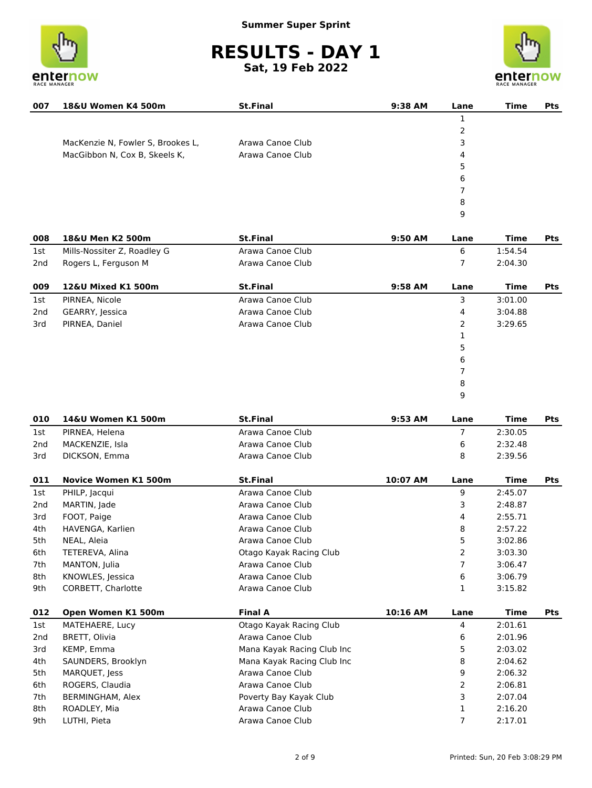



| 007             | 18&U Women K4 500m                | <b>St.Final</b>  | 9:38 AM  | Lane           | <b>Time</b> | <b>Pts</b> |
|-----------------|-----------------------------------|------------------|----------|----------------|-------------|------------|
|                 |                                   |                  |          | $\mathbf{1}$   |             |            |
|                 |                                   |                  |          | 2              |             |            |
|                 | MacKenzie N, Fowler S, Brookes L, | Arawa Canoe Club |          | 3              |             |            |
|                 | MacGibbon N, Cox B, Skeels K,     | Arawa Canoe Club |          | 4              |             |            |
|                 |                                   |                  |          | 5              |             |            |
|                 |                                   |                  |          | 6              |             |            |
|                 |                                   |                  |          | 7              |             |            |
|                 |                                   |                  |          | 8              |             |            |
|                 |                                   |                  |          | 9              |             |            |
| 008             | 18&U Men K2 500m                  | <b>St.Final</b>  | 9:50 AM  | Lane           | <b>Time</b> | <b>Pts</b> |
| 1st             | Mills-Nossiter Z, Roadley G       | Arawa Canoe Club |          | 6              | 1:54.54     |            |
| 2nd             | Rogers L, Ferguson M              | Arawa Canoe Club |          | 7              | 2:04.30     |            |
| 009             | 12&U Mixed K1 500m                | <b>St.Final</b>  | 9:58 AM  | Lane           | <b>Time</b> | <b>Pts</b> |
| 1st             | PIRNEA, Nicole                    | Arawa Canoe Club |          | 3              | 3:01.00     |            |
| 2 <sub>nd</sub> | GEARRY, Jessica                   | Arawa Canoe Club |          | 4              | 3:04.88     |            |
| 3rd             | PIRNEA, Daniel                    | Arawa Canoe Club |          | 2              | 3:29.65     |            |
|                 |                                   |                  |          | 1              |             |            |
|                 |                                   |                  |          | 5              |             |            |
|                 |                                   |                  |          | 6              |             |            |
|                 |                                   |                  |          | 7              |             |            |
|                 |                                   |                  |          | 8              |             |            |
|                 |                                   |                  |          | 9              |             |            |
| 010             | 14&U Women K1 500m                | <b>St.Final</b>  | 9:53 AM  | Lane           | <b>Time</b> | <b>Pts</b> |
| 1st             | PIRNEA, Helena                    | Arawa Canoe Club |          | $\overline{7}$ | 2:30.05     |            |
| 2 <sub>nd</sub> | MACKENZIE, Isla                   | Arawa Canoe Club |          | 6              | 2:32.48     |            |
| 3rd             | DICKSON, Emma                     | Arawa Canoe Club |          | 8              | 2:39.56     |            |
| 011             | <b>Novice Women K1 500m</b>       | <b>St.Final</b>  | 10:07 AM | Lane           | <b>Time</b> | <b>Pts</b> |

| 011             | Novice Women K1 500m | St.Final                   | 10:07 AM | Lane | Time    | Pts        |
|-----------------|----------------------|----------------------------|----------|------|---------|------------|
| 1st             | PHILP, Jacqui        | Arawa Canoe Club           |          | 9    | 2:45.07 |            |
| 2 <sub>nd</sub> | MARTIN, Jade         | Arawa Canoe Club           |          | 3    | 2:48.87 |            |
| 3rd             | FOOT, Paige          | Arawa Canoe Club           |          | 4    | 2:55.71 |            |
| 4th             | HAVENGA, Karlien     | Arawa Canoe Club           |          | 8    | 2:57.22 |            |
| 5th             | NEAL, Aleia          | Arawa Canoe Club           |          | 5    | 3:02.86 |            |
| 6th             | TETEREVA, Alina      | Otago Kayak Racing Club    |          | 2    | 3:03.30 |            |
| 7th             | MANTON, Julia        | Arawa Canoe Club           |          |      | 3:06.47 |            |
| 8th             | KNOWLES, Jessica     | Arawa Canoe Club           |          | 6    | 3:06.79 |            |
| 9th             | CORBETT, Charlotte   | Arawa Canoe Club           |          | 1    | 3:15.82 |            |
| 012             | Open Women K1 500m   | <b>Final A</b>             | 10:16 AM | Lane | Time    | <b>Pts</b> |
| 1st             | MATEHAERE, Lucy      | Otago Kayak Racing Club    |          | 4    | 2:01.61 |            |
| 2 <sub>nd</sub> | BRETT, Olivia        | Arawa Canoe Club           |          | 6    | 2:01.96 |            |
| 3rd             | KEMP, Emma           | Mana Kayak Racing Club Inc |          | 5    | 2:03.02 |            |
| 4th             | SAUNDERS, Brooklyn   | Mana Kayak Racing Club Inc |          |      | 2:04.62 |            |
|                 |                      |                            |          | 8    |         |            |
| 5th             | MARQUET, Jess        | Arawa Canoe Club           |          | 9    | 2:06.32 |            |
| 6th             | ROGERS, Claudia      | Arawa Canoe Club           |          | 2    | 2:06.81 |            |
| 7th             | BERMINGHAM, Alex     | Poverty Bay Kayak Club     |          | 3    | 2:07.04 |            |
| 8th             | ROADLEY, Mia         | Arawa Canoe Club           |          | 1    | 2:16.20 |            |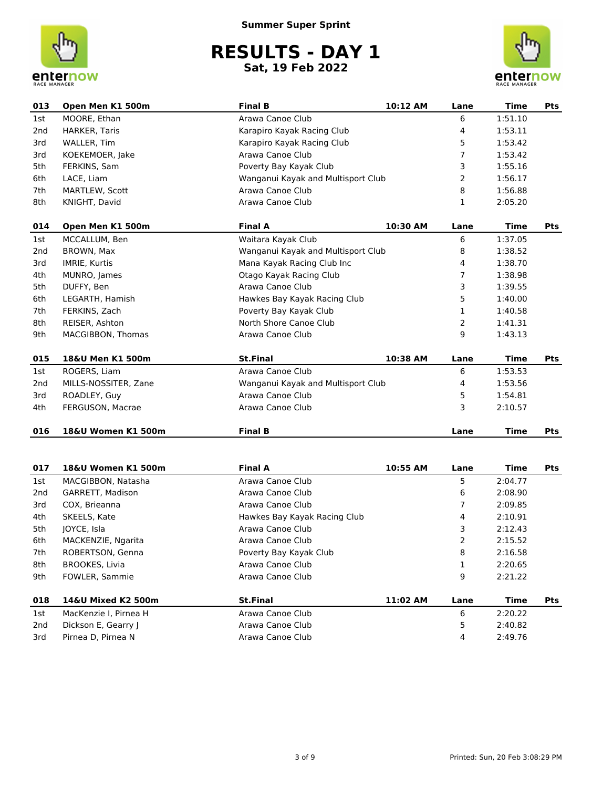



| 013             | Open Men K1 500m      | <b>Final B</b>                     | 10:12 AM | Lane           | <b>Time</b> | <b>Pts</b> |
|-----------------|-----------------------|------------------------------------|----------|----------------|-------------|------------|
| 1st             | MOORE, Ethan          | Arawa Canoe Club                   |          | 6              | 1:51.10     |            |
| 2 <sub>nd</sub> | <b>HARKER, Taris</b>  | Karapiro Kayak Racing Club         |          | 4              | 1:53.11     |            |
| 3rd             | WALLER, Tim           | Karapiro Kayak Racing Club         |          | 5              | 1:53.42     |            |
| 3rd             | KOEKEMOER, Jake       | Arawa Canoe Club                   |          | 7              | 1:53.42     |            |
| 5th             | FERKINS, Sam          | Poverty Bay Kayak Club             |          | 3              | 1:55.16     |            |
| 6th             | LACE, Liam            | Wanganui Kayak and Multisport Club |          | $\overline{2}$ | 1:56.17     |            |
| 7th             | <b>MARTLEW, Scott</b> | Arawa Canoe Club                   |          | 8              | 1:56.88     |            |
| 8th             | KNIGHT, David         | Arawa Canoe Club                   |          | 1              | 2:05.20     |            |
| 014             | Open Men K1 500m      | <b>Final A</b>                     | 10:30 AM | Lane           | Time        | Pts        |
| 1st             | MCCALLUM, Ben         | Waitara Kayak Club                 |          | 6              | 1:37.05     |            |
| 2nd             | BROWN, Max            | Wanganui Kayak and Multisport Club |          | 8              | 1:38.52     |            |
| 3rd             | <b>IMRIE, Kurtis</b>  | Mana Kayak Racing Club Inc         |          | 4              | 1:38.70     |            |
| 4th             | MUNRO, James          | Otago Kayak Racing Club            |          | $\overline{7}$ | 1:38.98     |            |
| 5th             | DUFFY, Ben            | Arawa Canoe Club                   |          | 3              | 1:39.55     |            |
| 6th             | LEGARTH, Hamish       | Hawkes Bay Kayak Racing Club       |          | 5              | 1:40.00     |            |
| 7th             | FERKINS, Zach         | Poverty Bay Kayak Club             |          | 1              | 1:40.58     |            |
| 8th             | REISER, Ashton        | North Shore Canoe Club             |          | 2              | 1:41.31     |            |
| 9th             | MACGIBBON, Thomas     | Arawa Canoe Club                   |          | 9              | 1:43.13     |            |
| 015             | 18&U Men K1 500m      | <b>St.Final</b>                    | 10:38 AM | Lane           | <b>Time</b> | <b>Pts</b> |
| 1st             | ROGERS, Liam          | Arawa Canoe Club                   |          | 6              | 1:53.53     |            |
| 2 <sub>nd</sub> | MILLS-NOSSITER, Zane  | Wanganui Kayak and Multisport Club |          | 4              | 1:53.56     |            |
| 3rd             | ROADLEY, Guy          | Arawa Canoe Club                   |          | 5              | 1:54.81     |            |
| 4th             | FERGUSON, Macrae      | Arawa Canoe Club                   |          | 3              | 2:10.57     |            |
| 016             | 18&U Women K1 500m    | <b>Final B</b>                     |          | Lane           | <b>Time</b> | <b>Pts</b> |

| 017 | 18&U Women K1 500m    | <b>Final A</b>               | 10:55 AM | Lane | Time    | Pts |
|-----|-----------------------|------------------------------|----------|------|---------|-----|
| 1st | MACGIBBON, Natasha    | Arawa Canoe Club             |          | 5    | 2:04.77 |     |
| 2nd | GARRETT, Madison      | Arawa Canoe Club             |          | 6    | 2:08.90 |     |
| 3rd | COX. Brieanna         | Arawa Canoe Club             |          |      | 2:09.85 |     |
| 4th | SKEELS, Kate          | Hawkes Bay Kayak Racing Club |          | 4    | 2:10.91 |     |
| 5th | IOYCE, Isla           | Arawa Canoe Club             |          | 3    | 2:12.43 |     |
| 6th | MACKENZIE, Ngarita    | Arawa Canoe Club             |          | 2    | 2:15.52 |     |
| 7th | ROBERTSON, Genna      | Poverty Bay Kayak Club       |          | 8    | 2:16.58 |     |
| 8th | <b>BROOKES, Livia</b> | Arawa Canoe Club             |          |      | 2:20.65 |     |
| 9th | FOWLER, Sammie        | Arawa Canoe Club             |          | 9    | 2:21.22 |     |
| 018 | 14&U Mixed K2 500m    | <b>St.Final</b>              | 11:02 AM | Lane | Time    | Pts |
| 1st | MacKenzie I, Pirnea H | Arawa Canoe Club             |          | 6    | 2:20.22 |     |
| 2nd | Dickson E, Gearry J   | Arawa Canoe Club             |          | 5    | 2:40.82 |     |
| 3rd | Pirnea D. Pirnea N    | Arawa Canoe Club             |          | 4    | 2:49.76 |     |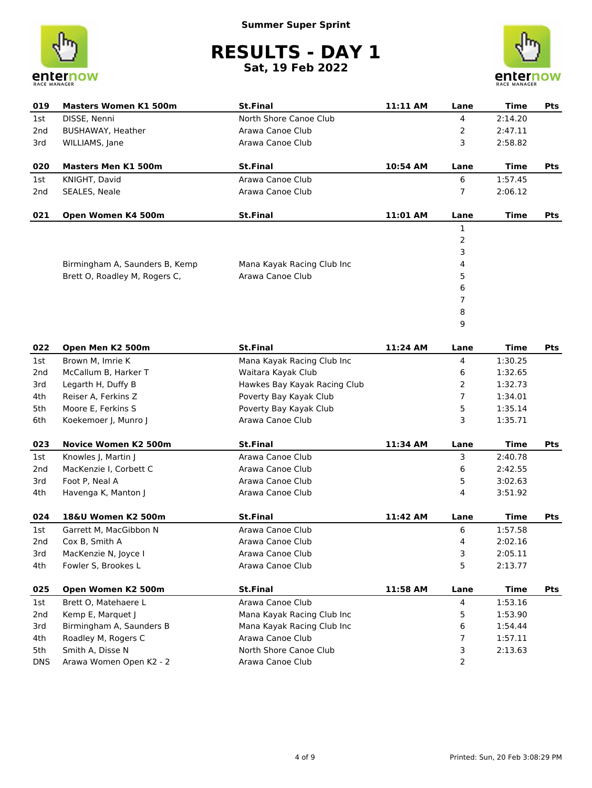



| 019        | <b>Masters Women K1 500m</b>   | <b>St.Final</b>              | 11:11 AM | Lane           | <b>Time</b> | Pts |
|------------|--------------------------------|------------------------------|----------|----------------|-------------|-----|
| 1st        | DISSE, Nenni                   | North Shore Canoe Club       |          | 4              | 2:14.20     |     |
| 2nd        | <b>BUSHAWAY, Heather</b>       | Arawa Canoe Club             |          | 2              | 2:47.11     |     |
| 3rd        | WILLIAMS, Jane                 | Arawa Canoe Club             |          | 3              | 2:58.82     |     |
| 020        | <b>Masters Men K1 500m</b>     | <b>St.Final</b>              | 10:54 AM | Lane           | Time        | Pts |
| 1st        | KNIGHT, David                  | Arawa Canoe Club             |          | 6              | 1:57.45     |     |
| 2nd        | SEALES, Neale                  | Arawa Canoe Club             |          | $\overline{7}$ | 2:06.12     |     |
| 021        | Open Women K4 500m             | <b>St.Final</b>              | 11:01 AM | Lane           | Time        | Pts |
|            |                                |                              |          | 1              |             |     |
|            |                                |                              |          | 2              |             |     |
|            |                                |                              |          | 3              |             |     |
|            | Birmingham A, Saunders B, Kemp | Mana Kayak Racing Club Inc   |          | 4              |             |     |
|            | Brett O, Roadley M, Rogers C,  | Arawa Canoe Club             |          | 5              |             |     |
|            |                                |                              |          | 6              |             |     |
|            |                                |                              |          | 7              |             |     |
|            |                                |                              |          | 8              |             |     |
|            |                                |                              |          | 9              |             |     |
| 022        | Open Men K2 500m               | <b>St.Final</b>              | 11:24 AM | Lane           | Time        | Pts |
| 1st        | Brown M, Imrie K               | Mana Kayak Racing Club Inc   |          | 4              | 1:30.25     |     |
| 2nd        | McCallum B, Harker T           | Waitara Kayak Club           |          | 6              | 1:32.65     |     |
| 3rd        | Legarth H, Duffy B             | Hawkes Bay Kayak Racing Club |          | 2              | 1:32.73     |     |
| 4th        | Reiser A, Ferkins Z            | Poverty Bay Kayak Club       |          | 7              | 1:34.01     |     |
| 5th        | Moore E, Ferkins S             | Poverty Bay Kayak Club       |          | 5              | 1:35.14     |     |
| 6th        | Koekemoer J, Munro J           | Arawa Canoe Club             |          | 3              | 1:35.71     |     |
| 023        | <b>Novice Women K2 500m</b>    | <b>St.Final</b>              | 11:34 AM | Lane           | Time        | Pts |
| 1st        | Knowles J, Martin J            | Arawa Canoe Club             |          | 3              | 2:40.78     |     |
| 2nd        | MacKenzie I, Corbett C         | Arawa Canoe Club             |          | 6              | 2:42.55     |     |
| 3rd        | Foot P, Neal A                 | Arawa Canoe Club             |          | 5              | 3:02.63     |     |
| 4th        | Havenga K, Manton J            | Arawa Canoe Club             |          | 4              | 3:51.92     |     |
| 024        | 18&U Women K2 500m             | <b>St.Final</b>              | 11:42 AM | Lane           | <b>Time</b> | Pts |
| 1st        | Garrett M. MacGibbon N         | Arawa Canoe Club             |          | 6              | 1:57.58     |     |
| 2nd        | Cox B, Smith A                 | Arawa Canoe Club             |          | 4              | 2:02.16     |     |
| 3rd        | MacKenzie N, Joyce I           | Arawa Canoe Club             |          | 3              | 2:05.11     |     |
| 4th        | Fowler S, Brookes L            | Arawa Canoe Club             |          | 5              | 2:13.77     |     |
| 025        | Open Women K2 500m             | <b>St.Final</b>              | 11:58 AM | Lane           | <b>Time</b> | Pts |
| 1st        | Brett O, Matehaere L           | Arawa Canoe Club             |          | 4              | 1:53.16     |     |
| 2nd        | Kemp E, Marquet J              | Mana Kayak Racing Club Inc   |          | 5              | 1:53.90     |     |
| 3rd        | Birmingham A, Saunders B       | Mana Kayak Racing Club Inc   |          | 6              | 1:54.44     |     |
| 4th        | Roadley M, Rogers C            | Arawa Canoe Club             |          | 7              | 1:57.11     |     |
| 5th        | Smith A, Disse N               | North Shore Canoe Club       |          | 3              | 2:13.63     |     |
| <b>DNS</b> | Arawa Women Open K2 - 2        | Arawa Canoe Club             |          | 2              |             |     |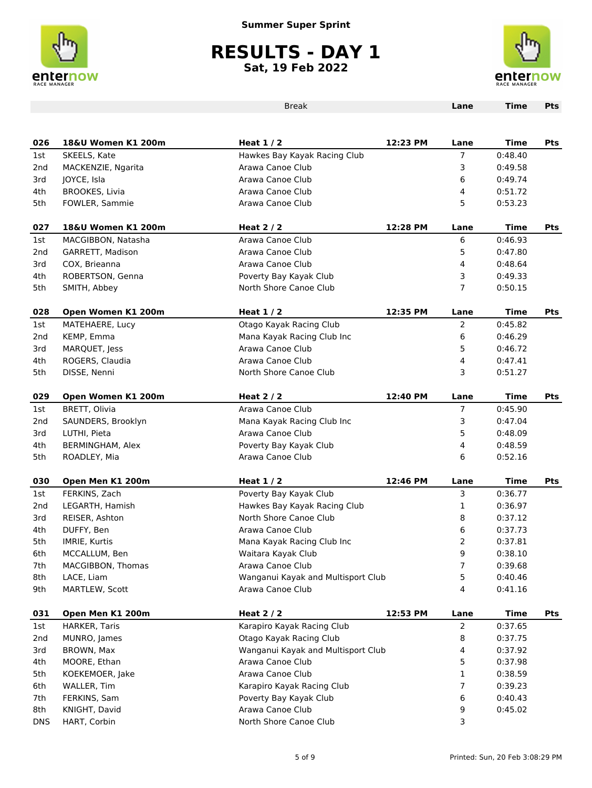



|                 |                       | <b>Break</b>                       |          | Lane           | <b>Time</b> | Pts        |
|-----------------|-----------------------|------------------------------------|----------|----------------|-------------|------------|
|                 |                       |                                    |          |                |             |            |
| 026             | 18&U Women K1 200m    | Heat $1/2$                         | 12:23 PM | Lane           | <b>Time</b> | Pts        |
| 1st             | SKEELS, Kate          | Hawkes Bay Kayak Racing Club       |          | 7              | 0:48.40     |            |
| 2 <sub>nd</sub> | MACKENZIE, Ngarita    | Arawa Canoe Club                   |          | 3              | 0:49.58     |            |
| 3rd             | JOYCE, Isla           | Arawa Canoe Club                   |          | 6              | 0:49.74     |            |
| 4th             | <b>BROOKES, Livia</b> | Arawa Canoe Club                   |          | 4              | 0:51.72     |            |
| 5th             | FOWLER, Sammie        | Arawa Canoe Club                   |          | 5              | 0:53.23     |            |
| 027             | 18&U Women K1 200m    | Heat $2/2$                         | 12:28 PM | Lane           | Time        | Pts        |
| 1st             | MACGIBBON, Natasha    | Arawa Canoe Club                   |          | 6              | 0:46.93     |            |
| 2 <sub>nd</sub> | GARRETT, Madison      | Arawa Canoe Club                   |          | 5              | 0:47.80     |            |
| 3rd             | COX, Brieanna         | Arawa Canoe Club                   |          | 4              | 0:48.64     |            |
| 4th             | ROBERTSON, Genna      | Poverty Bay Kayak Club             |          | 3              | 0:49.33     |            |
| 5th             | SMITH, Abbey          | North Shore Canoe Club             |          | $\overline{7}$ | 0:50.15     |            |
| 028             | Open Women K1 200m    | Heat $1/2$                         | 12:35 PM | Lane           | Time        | Pts        |
| 1st             | MATEHAERE, Lucy       | Otago Kayak Racing Club            |          | $\overline{2}$ | 0:45.82     |            |
| 2 <sub>nd</sub> | KEMP, Emma            | Mana Kayak Racing Club Inc         |          | 6              | 0:46.29     |            |
| 3rd             | MARQUET, Jess         | Arawa Canoe Club                   |          | 5              | 0:46.72     |            |
| 4th             | ROGERS, Claudia       | Arawa Canoe Club                   |          | 4              | 0:47.41     |            |
| 5th             | DISSE, Nenni          | North Shore Canoe Club             |          | 3              | 0:51.27     |            |
| 029             | Open Women K1 200m    | Heat $2/2$                         | 12:40 PM | Lane           | Time        | <b>Pts</b> |
| 1st             | BRETT, Olivia         | Arawa Canoe Club                   |          | 7              | 0:45.90     |            |
| 2 <sub>nd</sub> | SAUNDERS, Brooklyn    | Mana Kayak Racing Club Inc         |          | 3              | 0:47.04     |            |
| 3rd             | LUTHI, Pieta          | Arawa Canoe Club                   |          | 5              | 0:48.09     |            |
| 4th             | BERMINGHAM, Alex      | Poverty Bay Kayak Club             |          | 4              | 0:48.59     |            |
| 5th             | ROADLEY, Mia          | Arawa Canoe Club                   |          | 6              | 0:52.16     |            |
| 030             | Open Men K1 200m      | Heat $1/2$                         | 12:46 PM | Lane           | Time        | <b>Pts</b> |
| 1st             | FERKINS, Zach         | Poverty Bay Kayak Club             |          | 3              | 0:36.77     |            |
| 2 <sub>nd</sub> | LEGARTH, Hamish       | Hawkes Bay Kayak Racing Club       |          | 1              | 0:36.97     |            |
| 3rd             | REISER, Ashton        | North Shore Canoe Club             |          | 8              | 0:37.12     |            |
| 4th             | DUFFY, Ben            | Arawa Canoe Club                   |          | 6              | 0:37.73     |            |
| 5th             | IMRIE, Kurtis         | Mana Kayak Racing Club Inc         |          | $\overline{2}$ | 0:37.81     |            |
| 6th             | MCCALLUM, Ben         | Waitara Kayak Club                 |          | 9              | 0:38.10     |            |
| 7th             | MACGIBBON, Thomas     | Arawa Canoe Club                   |          | 7              | 0:39.68     |            |
| 8th             | LACE, Liam            | Wanganui Kayak and Multisport Club |          | 5              | 0:40.46     |            |
| 9th             | MARTLEW, Scott        | Arawa Canoe Club                   |          | 4              | 0:41.16     |            |
| 031             | Open Men K1 200m      | Heat $2/2$                         | 12:53 PM | Lane           | <b>Time</b> | Pts        |
| 1st             | HARKER, Taris         | Karapiro Kayak Racing Club         |          | $\overline{2}$ | 0:37.65     |            |
| 2nd             | MUNRO, James          | Otago Kayak Racing Club            |          | 8              | 0:37.75     |            |
| 3rd             | BROWN, Max            | Wanganui Kayak and Multisport Club |          | 4              | 0:37.92     |            |
| 4th             | MOORE, Ethan          | Arawa Canoe Club                   |          | 5              | 0:37.98     |            |
| 5th             | KOEKEMOER, Jake       | Arawa Canoe Club                   |          | 1              | 0:38.59     |            |
| 6th             | WALLER, Tim           | Karapiro Kayak Racing Club         |          | 7              | 0:39.23     |            |
| 7th             | FERKINS, Sam          | Poverty Bay Kayak Club             |          | 6              | 0:40.43     |            |
| 8th             | KNIGHT, David         | Arawa Canoe Club                   |          | 9              | 0:45.02     |            |
| <b>DNS</b>      | HART, Corbin          | North Shore Canoe Club             |          | 3              |             |            |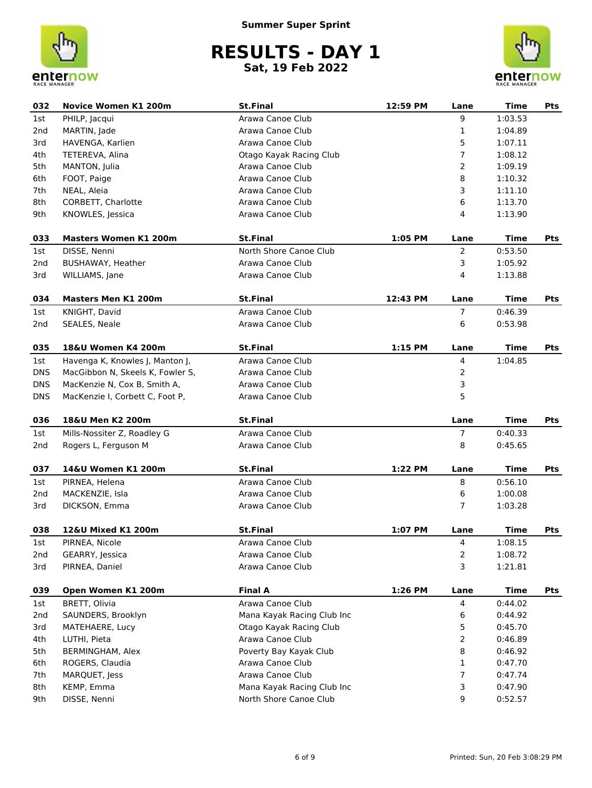



| 032        | <b>Novice Women K1 200m</b>      | <b>St.Final</b>            | 12:59 PM | Lane           | <b>Time</b> | <b>Pts</b> |
|------------|----------------------------------|----------------------------|----------|----------------|-------------|------------|
| 1st        | PHILP, Jacqui                    | Arawa Canoe Club           |          | 9              | 1:03.53     |            |
| 2nd        | MARTIN, Jade                     | Arawa Canoe Club           |          | 1              | 1:04.89     |            |
| 3rd        | HAVENGA, Karlien                 | Arawa Canoe Club           |          | 5              | 1:07.11     |            |
| 4th        | TETEREVA, Alina                  | Otago Kayak Racing Club    |          | 7              | 1:08.12     |            |
| 5th        | MANTON, Julia                    | Arawa Canoe Club           |          | 2              | 1:09.19     |            |
| 6th        | FOOT, Paige                      | Arawa Canoe Club           |          | 8              | 1:10.32     |            |
| 7th        | NEAL, Aleia                      | Arawa Canoe Club           |          | 3              | 1:11.10     |            |
| 8th        | CORBETT, Charlotte               | Arawa Canoe Club           |          | 6              | 1:13.70     |            |
| 9th        | KNOWLES, Jessica                 | Arawa Canoe Club           |          | $\overline{4}$ | 1:13.90     |            |
| 033        | <b>Masters Women K1 200m</b>     | <b>St.Final</b>            | 1:05 PM  | Lane           | <b>Time</b> | Pts        |
| 1st        | DISSE, Nenni                     | North Shore Canoe Club     |          | $\overline{2}$ | 0:53.50     |            |
| 2nd        | BUSHAWAY, Heather                | Arawa Canoe Club           |          | 3              | 1:05.92     |            |
| 3rd        | WILLIAMS, Jane                   | Arawa Canoe Club           |          | 4              | 1:13.88     |            |
| 034        | <b>Masters Men K1 200m</b>       | <b>St.Final</b>            | 12:43 PM | Lane           | Time        | Pts        |
| 1st        | KNIGHT, David                    | Arawa Canoe Club           |          | $\overline{7}$ | 0:46.39     |            |
| 2nd        | SEALES, Neale                    | Arawa Canoe Club           |          | 6              | 0:53.98     |            |
|            |                                  |                            |          |                |             |            |
| 035        | 18&U Women K4 200m               | <b>St.Final</b>            | 1:15 PM  | Lane           | <b>Time</b> | Pts        |
| 1st        | Havenga K, Knowles J, Manton J,  | Arawa Canoe Club           |          | $\overline{4}$ | 1:04.85     |            |
| <b>DNS</b> | MacGibbon N, Skeels K, Fowler S, | Arawa Canoe Club           |          | 2              |             |            |
| <b>DNS</b> | MacKenzie N, Cox B, Smith A,     | Arawa Canoe Club           |          | 3              |             |            |
| <b>DNS</b> | MacKenzie I, Corbett C, Foot P,  | Arawa Canoe Club           |          | 5              |             |            |
| 036        | 18&U Men K2 200m                 | <b>St.Final</b>            |          | Lane           | <b>Time</b> | Pts        |
| 1st        | Mills-Nossiter Z, Roadley G      | Arawa Canoe Club           |          | 7              | 0:40.33     |            |
| 2nd        | Rogers L, Ferguson M             | Arawa Canoe Club           |          | 8              | 0:45.65     |            |
| 037        | 14&U Women K1 200m               | <b>St.Final</b>            | 1:22 PM  | Lane           | <b>Time</b> | Pts        |
| 1st        | PIRNEA, Helena                   | Arawa Canoe Club           |          | 8              | 0:56.10     |            |
| 2nd        | MACKENZIE, Isla                  | Arawa Canoe Club           |          | 6              | 1:00.08     |            |
| 3rd        | DICKSON, Emma                    | Arawa Canoe Club           |          | 7              | 1:03.28     |            |
|            |                                  |                            |          |                |             |            |
| 038        | 12&U Mixed K1 200m               | <b>St.Final</b>            | 1:07 PM  | Lane           | Time        | Pts        |
| 1st        | PIRNEA, Nicole                   | Arawa Canoe Club           |          | 4              | 1:08.15     |            |
| 2nd        | GEARRY, Jessica                  | Arawa Canoe Club           |          | 2              | 1:08.72     |            |
| 3rd        | PIRNEA, Daniel                   | Arawa Canoe Club           |          | 3              | 1:21.81     |            |
| 039        | Open Women K1 200m               | <b>Final A</b>             | 1:26 PM  | Lane           | <b>Time</b> | Pts        |
| 1st        | BRETT, Olivia                    | Arawa Canoe Club           |          | 4              | 0:44.02     |            |
| 2nd        | SAUNDERS, Brooklyn               | Mana Kayak Racing Club Inc |          | 6              | 0:44.92     |            |
| 3rd        | MATEHAERE, Lucy                  | Otago Kayak Racing Club    |          | 5              | 0:45.70     |            |
| 4th        | LUTHI, Pieta                     | Arawa Canoe Club           |          | 2              | 0:46.89     |            |
| 5th        | BERMINGHAM, Alex                 | Poverty Bay Kayak Club     |          | 8              | 0:46.92     |            |
| 6th        | ROGERS, Claudia                  | Arawa Canoe Club           |          | 1              | 0:47.70     |            |
| 7th        | MARQUET, Jess                    | Arawa Canoe Club           |          | 7              | 0:47.74     |            |
| 8th        | KEMP, Emma                       | Mana Kayak Racing Club Inc |          | 3              | 0:47.90     |            |
| 9th        | DISSE, Nenni                     | North Shore Canoe Club     |          | 9              | 0:52.57     |            |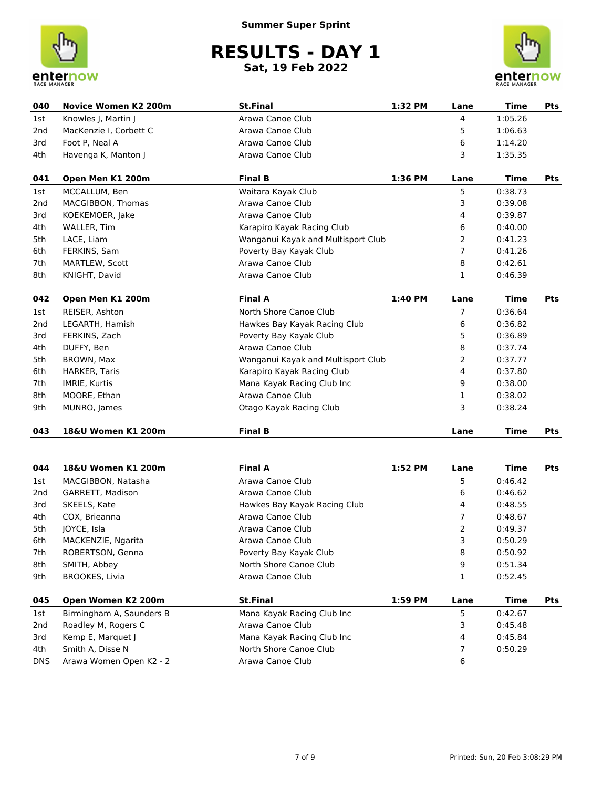



| 040             | <b>Novice Women K2 200m</b> | <b>St.Final</b>                    | 1:32 PM | Lane           | <b>Time</b> | <b>Pts</b> |
|-----------------|-----------------------------|------------------------------------|---------|----------------|-------------|------------|
| 1st             | Knowles J, Martin J         | Arawa Canoe Club                   |         | $\overline{4}$ | 1:05.26     |            |
| 2 <sub>nd</sub> | MacKenzie I, Corbett C      | Arawa Canoe Club                   |         | 5              | 1:06.63     |            |
| 3rd             | Foot P, Neal A              | Arawa Canoe Club                   |         | 6              | 1:14.20     |            |
| 4th             | Havenga K, Manton J         | Arawa Canoe Club                   |         | 3              | 1:35.35     |            |
| 041             | Open Men K1 200m            | <b>Final B</b>                     | 1:36 PM | Lane           | <b>Time</b> | <b>Pts</b> |
| 1st             | MCCALLUM, Ben               | Waitara Kayak Club                 |         | 5              | 0:38.73     |            |
| 2 <sub>nd</sub> | MACGIBBON, Thomas           | Arawa Canoe Club                   |         | 3              | 0:39.08     |            |
| 3rd             | KOEKEMOER, Jake             | Arawa Canoe Club                   |         | 4              | 0:39.87     |            |
| 4th             | WALLER, Tim                 | Karapiro Kayak Racing Club         |         | 6              | 0:40.00     |            |
| 5th             | LACE, Liam                  | Wanganui Kayak and Multisport Club |         | 2              | 0:41.23     |            |
| 6th             | FERKINS, Sam                | Poverty Bay Kayak Club             |         | 7              | 0:41.26     |            |
| 7th             | MARTLEW, Scott              | Arawa Canoe Club                   |         | 8              | 0:42.61     |            |
| 8th             | KNIGHT, David               | Arawa Canoe Club                   |         | $\mathbf{1}$   | 0:46.39     |            |
| 042             | Open Men K1 200m            | <b>Final A</b>                     | 1:40 PM | Lane           | <b>Time</b> | <b>Pts</b> |
| 1st             | REISER, Ashton              | North Shore Canoe Club             |         | 7              | 0:36.64     |            |
| 2 <sub>nd</sub> | LEGARTH, Hamish             | Hawkes Bay Kayak Racing Club       |         | 6              | 0:36.82     |            |
| 3rd             | FERKINS, Zach               | Poverty Bay Kayak Club             |         | 5              | 0:36.89     |            |
| 4th             | DUFFY, Ben                  | Arawa Canoe Club                   |         | 8              | 0:37.74     |            |
| 5th             | BROWN, Max                  | Wanganui Kayak and Multisport Club |         | 2              | 0:37.77     |            |
| 6th             | <b>HARKER, Taris</b>        | Karapiro Kayak Racing Club         |         | 4              | 0:37.80     |            |
| 7th             | IMRIE, Kurtis               | Mana Kayak Racing Club Inc         |         | 9              | 0:38.00     |            |
| 8th             | MOORE, Ethan                | Arawa Canoe Club                   |         | 1              | 0:38.02     |            |
| 9th             | MUNRO, James                | Otago Kayak Racing Club            |         | 3              | 0:38.24     |            |
| 043             | 18&U Women K1 200m          | <b>Final B</b>                     |         | Lane           | <b>Time</b> | <b>Pts</b> |

| 044        | 18&U Women K1 200m       | <b>Final A</b>               | 1:52 PM | Lane | Time    | Pts |
|------------|--------------------------|------------------------------|---------|------|---------|-----|
| 1st        | MACGIBBON, Natasha       | Arawa Canoe Club             |         | 5.   | 0:46.42 |     |
| 2nd        | GARRETT, Madison         | Arawa Canoe Club             |         | 6    | 0:46.62 |     |
| 3rd        | SKEELS, Kate             | Hawkes Bay Kayak Racing Club |         | 4    | 0:48.55 |     |
| 4th        | COX, Brieanna            | Arawa Canoe Club             |         |      | 0:48.67 |     |
| 5th        | JOYCE, Isla              | Arawa Canoe Club             |         | 2    | 0:49.37 |     |
| 6th        | MACKENZIE, Ngarita       | Arawa Canoe Club             |         | 3    | 0:50.29 |     |
| 7th        | ROBERTSON, Genna         | Poverty Bay Kayak Club       |         | 8    | 0:50.92 |     |
| 8th        | SMITH, Abbey             | North Shore Canoe Club       |         | 9    | 0:51.34 |     |
| 9th        | <b>BROOKES, Livia</b>    | Arawa Canoe Club             |         | 1    | 0:52.45 |     |
| 045        | Open Women K2 200m       | <b>St.Final</b>              | 1:59 PM | Lane | Time    | Pts |
| 1st        | Birmingham A, Saunders B | Mana Kayak Racing Club Inc   |         | 5    | 0:42.67 |     |
| 2nd        | Roadley M, Rogers C      | Arawa Canoe Club             |         | 3    | 0:45.48 |     |
| 3rd        | Kemp E, Marquet I        | Mana Kayak Racing Club Inc   |         | 4    | 0:45.84 |     |
| 4th        | Smith A, Disse N         | North Shore Canoe Club       |         |      | 0:50.29 |     |
| <b>DNS</b> | Arawa Women Open K2 - 2  | Arawa Canoe Club             |         | 6    |         |     |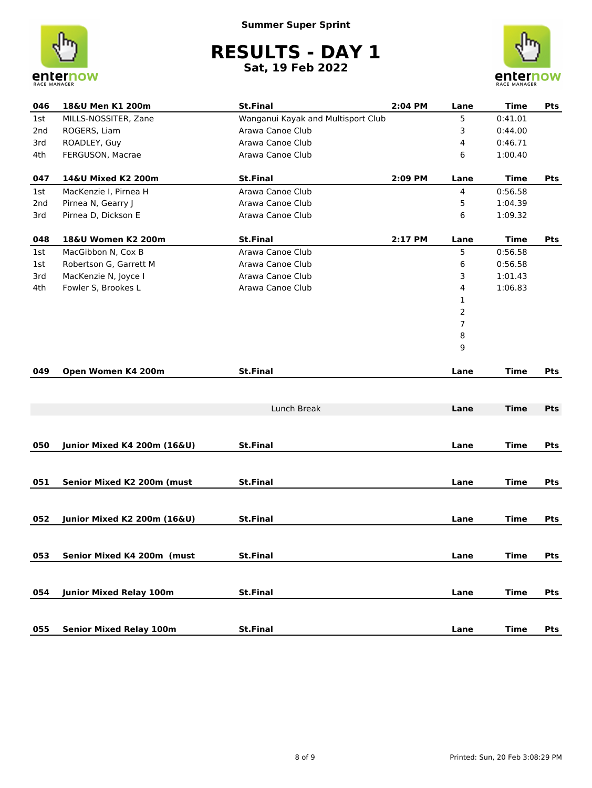



| 046             | 18&U Men K1 200m                       | <b>St.Final</b>                    | 2:04 PM | Lane           | <b>Time</b> | Pts        |
|-----------------|----------------------------------------|------------------------------------|---------|----------------|-------------|------------|
| 1st             | MILLS-NOSSITER, Zane                   | Wanganui Kayak and Multisport Club |         | 5              | 0:41.01     |            |
| 2 <sub>nd</sub> | ROGERS, Liam                           | Arawa Canoe Club                   |         | 3              | 0:44.00     |            |
| 3rd             | ROADLEY, Guy                           | Arawa Canoe Club                   |         | 4              | 0:46.71     |            |
| 4th             | FERGUSON, Macrae                       | Arawa Canoe Club                   |         | 6              | 1:00.40     |            |
| 047             | 14&U Mixed K2 200m                     | <b>St.Final</b>                    | 2:09 PM | Lane           | <b>Time</b> | <b>Pts</b> |
| 1st             | MacKenzie I, Pirnea H                  | Arawa Canoe Club                   |         | 4              | 0:56.58     |            |
| 2nd             | Pirnea N, Gearry J                     | Arawa Canoe Club                   |         | 5              | 1:04.39     |            |
| 3rd             | Pirnea D, Dickson E                    | Arawa Canoe Club                   |         | 6              | 1:09.32     |            |
| 048             | 18&U Women K2 200m                     | <b>St.Final</b>                    | 2:17 PM | Lane           | Time        | <b>Pts</b> |
| 1st             | MacGibbon N, Cox B                     | Arawa Canoe Club                   |         | 5              | 0:56.58     |            |
| 1st             | Robertson G, Garrett M                 | Arawa Canoe Club                   |         | 6              | 0:56.58     |            |
| 3rd             | MacKenzie N, Joyce I                   | Arawa Canoe Club                   |         | 3              | 1:01.43     |            |
| 4th             | Fowler S, Brookes L                    | Arawa Canoe Club                   |         | 4              | 1:06.83     |            |
|                 |                                        |                                    |         | 1              |             |            |
|                 |                                        |                                    |         | 2              |             |            |
|                 |                                        |                                    |         | $\overline{7}$ |             |            |
|                 |                                        |                                    |         | 8              |             |            |
|                 |                                        |                                    |         | 9              |             |            |
| 049             | Open Women K4 200m                     | <b>St.Final</b>                    |         | Lane           | <b>Time</b> | Pts        |
|                 |                                        |                                    |         |                |             |            |
|                 |                                        | Lunch Break                        |         | Lane           | <b>Time</b> | <b>Pts</b> |
|                 |                                        |                                    |         |                |             |            |
| 050             | <b>Junior Mixed K4 200m (16&amp;U)</b> | <b>St.Final</b>                    |         | Lane           | <b>Time</b> | Pts        |
|                 |                                        |                                    |         |                |             |            |
| 051             | Senior Mixed K2 200m (must             | <b>St.Final</b>                    |         | Lane           | <b>Time</b> | Pts        |
|                 |                                        |                                    |         |                |             |            |
|                 |                                        |                                    |         |                |             |            |
| 052             | Junior Mixed K2 200m (16&U)            | <b>St.Final</b>                    |         | Lane           | <b>Time</b> | Pts        |
|                 |                                        |                                    |         |                |             |            |
| 053             | Senior Mixed K4 200m (must             | <b>St.Final</b>                    |         | Lane           | <b>Time</b> | Pts        |
|                 |                                        |                                    |         |                |             |            |
| 054             | <b>Junior Mixed Relay 100m</b>         | <b>St.Final</b>                    |         | Lane           | <b>Time</b> | Pts        |
|                 |                                        |                                    |         |                |             |            |
| 055             | <b>Senior Mixed Relay 100m</b>         | <b>St.Final</b>                    |         | Lane           | <b>Time</b> | Pts        |
|                 |                                        |                                    |         |                |             |            |